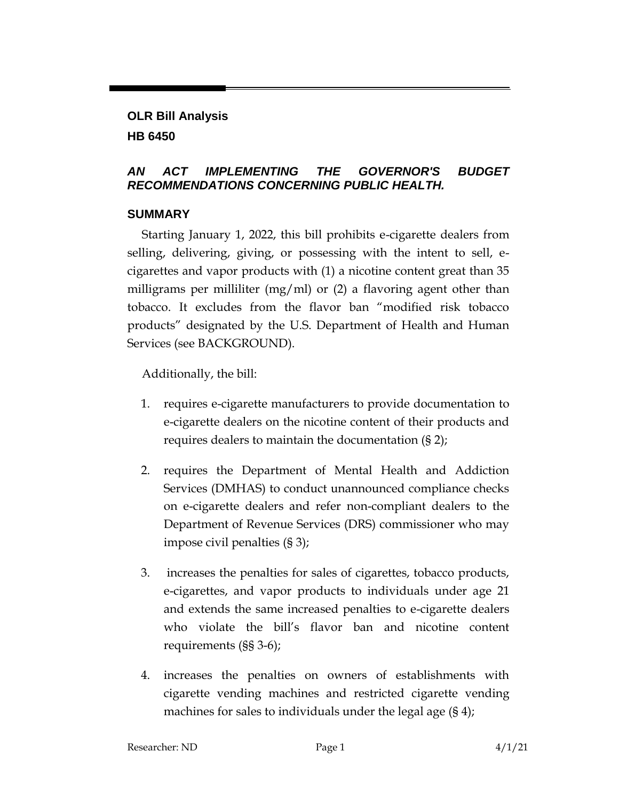# **OLR Bill Analysis HB 6450**

### *AN ACT IMPLEMENTING THE GOVERNOR'S BUDGET RECOMMENDATIONS CONCERNING PUBLIC HEALTH.*

### **SUMMARY**

Starting January 1, 2022, this bill prohibits e-cigarette dealers from selling, delivering, giving, or possessing with the intent to sell, ecigarettes and vapor products with (1) a nicotine content great than 35 milligrams per milliliter (mg/ml) or  $(2)$  a flavoring agent other than tobacco. It excludes from the flavor ban "modified risk tobacco products" designated by the U.S. Department of Health and Human Services (see BACKGROUND).

Additionally, the bill:

- 1. requires e-cigarette manufacturers to provide documentation to e-cigarette dealers on the nicotine content of their products and requires dealers to maintain the documentation (§ 2);
- 2. requires the Department of Mental Health and Addiction Services (DMHAS) to conduct unannounced compliance checks on e-cigarette dealers and refer non-compliant dealers to the Department of Revenue Services (DRS) commissioner who may impose civil penalties (§ 3);
- 3. increases the penalties for sales of cigarettes, tobacco products, e-cigarettes, and vapor products to individuals under age 21 and extends the same increased penalties to e-cigarette dealers who violate the bill's flavor ban and nicotine content requirements (§§ 3-6);
- 4. increases the penalties on owners of establishments with cigarette vending machines and restricted cigarette vending machines for sales to individuals under the legal age (§ 4);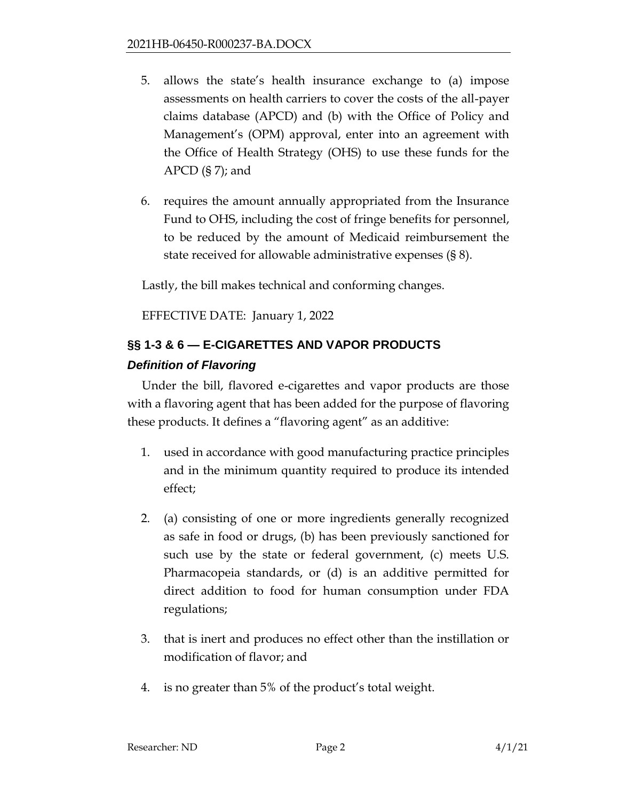- 5. allows the state's health insurance exchange to (a) impose assessments on health carriers to cover the costs of the all-payer claims database (APCD) and (b) with the Office of Policy and Management's (OPM) approval, enter into an agreement with the Office of Health Strategy (OHS) to use these funds for the  $APCD$  (§ 7); and
- 6. requires the amount annually appropriated from the Insurance Fund to OHS, including the cost of fringe benefits for personnel, to be reduced by the amount of Medicaid reimbursement the state received for allowable administrative expenses (§ 8).

Lastly, the bill makes technical and conforming changes.

EFFECTIVE DATE: January 1, 2022

# **§§ 1-3 & 6 — E-CIGARETTES AND VAPOR PRODUCTS** *Definition of Flavoring*

Under the bill, flavored e-cigarettes and vapor products are those with a flavoring agent that has been added for the purpose of flavoring these products. It defines a "flavoring agent" as an additive:

- 1. used in accordance with good manufacturing practice principles and in the minimum quantity required to produce its intended effect;
- 2. (a) consisting of one or more ingredients generally recognized as safe in food or drugs, (b) has been previously sanctioned for such use by the state or federal government, (c) meets U.S. Pharmacopeia standards, or (d) is an additive permitted for direct addition to food for human consumption under FDA regulations;
- 3. that is inert and produces no effect other than the instillation or modification of flavor; and
- 4. is no greater than 5% of the product's total weight.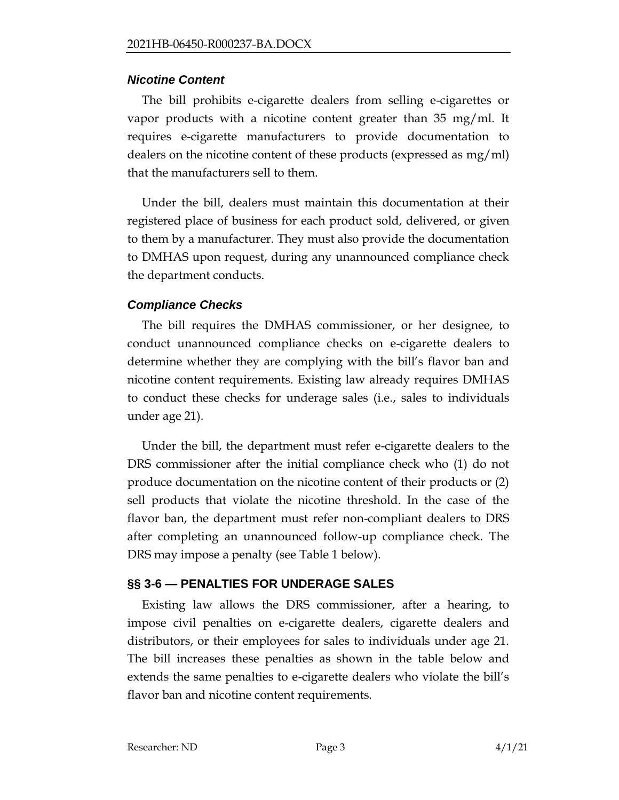#### *Nicotine Content*

The bill prohibits e-cigarette dealers from selling e-cigarettes or vapor products with a nicotine content greater than 35 mg/ml. It requires e-cigarette manufacturers to provide documentation to dealers on the nicotine content of these products (expressed as mg/ml) that the manufacturers sell to them.

Under the bill, dealers must maintain this documentation at their registered place of business for each product sold, delivered, or given to them by a manufacturer. They must also provide the documentation to DMHAS upon request, during any unannounced compliance check the department conducts.

#### *Compliance Checks*

The bill requires the DMHAS commissioner, or her designee, to conduct unannounced compliance checks on e-cigarette dealers to determine whether they are complying with the bill's flavor ban and nicotine content requirements. Existing law already requires DMHAS to conduct these checks for underage sales (i.e., sales to individuals under age 21).

Under the bill, the department must refer e-cigarette dealers to the DRS commissioner after the initial compliance check who (1) do not produce documentation on the nicotine content of their products or (2) sell products that violate the nicotine threshold. In the case of the flavor ban, the department must refer non-compliant dealers to DRS after completing an unannounced follow-up compliance check. The DRS may impose a penalty (see Table 1 below).

### **§§ 3-6 — PENALTIES FOR UNDERAGE SALES**

Existing law allows the DRS commissioner, after a hearing, to impose civil penalties on e-cigarette dealers, cigarette dealers and distributors, or their employees for sales to individuals under age 21. The bill increases these penalties as shown in the table below and extends the same penalties to e-cigarette dealers who violate the bill's flavor ban and nicotine content requirements.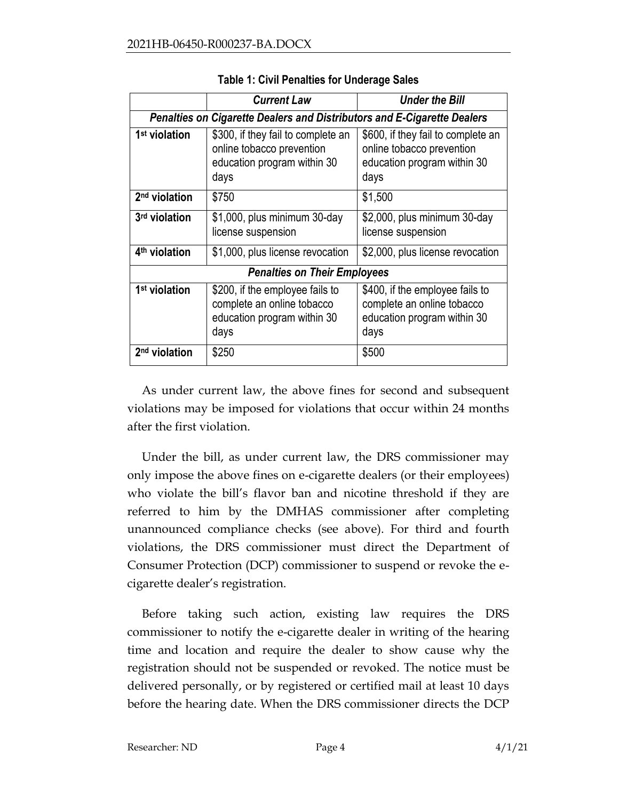|                                                                         | <b>Current Law</b>                                                                                   | <b>Under the Bill</b>                                                                                |
|-------------------------------------------------------------------------|------------------------------------------------------------------------------------------------------|------------------------------------------------------------------------------------------------------|
| Penalties on Cigarette Dealers and Distributors and E-Cigarette Dealers |                                                                                                      |                                                                                                      |
| 1 <sup>st</sup> violation                                               | \$300, if they fail to complete an                                                                   | \$600, if they fail to complete an                                                                   |
|                                                                         | online tobacco prevention                                                                            | online tobacco prevention                                                                            |
|                                                                         | education program within 30                                                                          | education program within 30                                                                          |
|                                                                         | days                                                                                                 | days                                                                                                 |
| 2 <sup>nd</sup> violation                                               | \$750                                                                                                | \$1,500                                                                                              |
| 3rd violation                                                           | \$1,000, plus minimum 30-day                                                                         | \$2,000, plus minimum 30-day                                                                         |
|                                                                         | license suspension                                                                                   | license suspension                                                                                   |
| 4 <sup>th</sup> violation                                               | \$1,000, plus license revocation                                                                     | \$2,000, plus license revocation                                                                     |
| <b>Penalties on Their Employees</b>                                     |                                                                                                      |                                                                                                      |
| 1 <sup>st</sup> violation                                               | \$200, if the employee fails to<br>complete an online tobacco<br>education program within 30<br>days | \$400, if the employee fails to<br>complete an online tobacco<br>education program within 30<br>days |
| 2 <sup>nd</sup> violation                                               | \$250                                                                                                | \$500                                                                                                |

**Table 1: Civil Penalties for Underage Sales**

As under current law, the above fines for second and subsequent violations may be imposed for violations that occur within 24 months after the first violation.

Under the bill, as under current law, the DRS commissioner may only impose the above fines on e-cigarette dealers (or their employees) who violate the bill's flavor ban and nicotine threshold if they are referred to him by the DMHAS commissioner after completing unannounced compliance checks (see above). For third and fourth violations, the DRS commissioner must direct the Department of Consumer Protection (DCP) commissioner to suspend or revoke the ecigarette dealer's registration.

Before taking such action, existing law requires the DRS commissioner to notify the e-cigarette dealer in writing of the hearing time and location and require the dealer to show cause why the registration should not be suspended or revoked. The notice must be delivered personally, or by registered or certified mail at least 10 days before the hearing date. When the DRS commissioner directs the DCP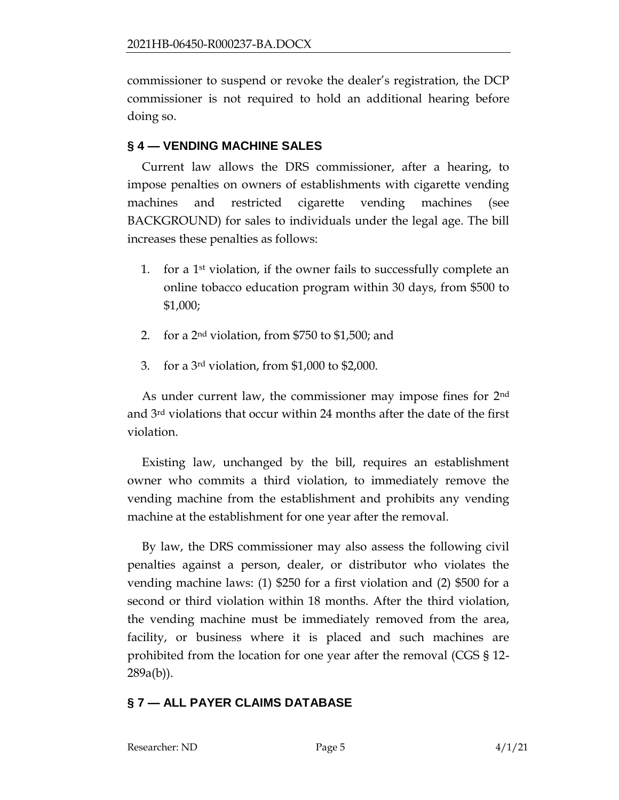commissioner to suspend or revoke the dealer's registration, the DCP commissioner is not required to hold an additional hearing before doing so.

### **§ 4 — VENDING MACHINE SALES**

Current law allows the DRS commissioner, after a hearing, to impose penalties on owners of establishments with cigarette vending machines and restricted cigarette vending machines (see BACKGROUND) for sales to individuals under the legal age. The bill increases these penalties as follows:

- 1. for a  $1<sup>st</sup>$  violation, if the owner fails to successfully complete an online tobacco education program within 30 days, from \$500 to \$1,000;
- 2. for a 2nd violation, from \$750 to \$1,500; and
- 3. for a 3rd violation, from \$1,000 to \$2,000.

As under current law, the commissioner may impose fines for 2<sup>nd</sup> and 3rd violations that occur within 24 months after the date of the first violation.

Existing law, unchanged by the bill, requires an establishment owner who commits a third violation, to immediately remove the vending machine from the establishment and prohibits any vending machine at the establishment for one year after the removal.

By law, the DRS commissioner may also assess the following civil penalties against a person, dealer, or distributor who violates the vending machine laws: (1) \$250 for a first violation and (2) \$500 for a second or third violation within 18 months. After the third violation, the vending machine must be immediately removed from the area, facility, or business where it is placed and such machines are prohibited from the location for one year after the removal (CGS § 12- 289a(b)).

### **§ 7 — ALL PAYER CLAIMS DATABASE**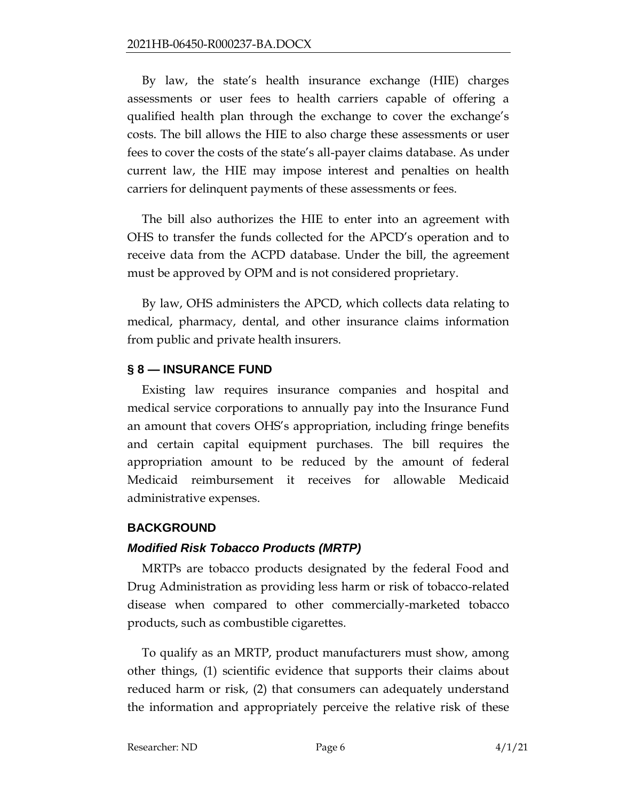By law, the state's health insurance exchange (HIE) charges assessments or user fees to health carriers capable of offering a qualified health plan through the exchange to cover the exchange's costs. The bill allows the HIE to also charge these assessments or user fees to cover the costs of the state's all-payer claims database. As under current law, the HIE may impose interest and penalties on health carriers for delinquent payments of these assessments or fees.

The bill also authorizes the HIE to enter into an agreement with OHS to transfer the funds collected for the APCD's operation and to receive data from the ACPD database. Under the bill, the agreement must be approved by OPM and is not considered proprietary.

By law, OHS administers the APCD, which collects data relating to medical, pharmacy, dental, and other insurance claims information from public and private health insurers.

### **§ 8 — INSURANCE FUND**

Existing law requires insurance companies and hospital and medical service corporations to annually pay into the Insurance Fund an amount that covers OHS's appropriation, including fringe benefits and certain capital equipment purchases. The bill requires the appropriation amount to be reduced by the amount of federal Medicaid reimbursement it receives for allowable Medicaid administrative expenses.

#### **BACKGROUND**

#### *Modified Risk Tobacco Products (MRTP)*

MRTPs are tobacco products designated by the federal Food and Drug Administration as providing less harm or risk of tobacco-related disease when compared to other commercially-marketed tobacco products, such as combustible cigarettes.

To qualify as an MRTP, product manufacturers must show, among other things, (1) scientific evidence that supports their claims about reduced harm or risk, (2) that consumers can adequately understand the information and appropriately perceive the relative risk of these